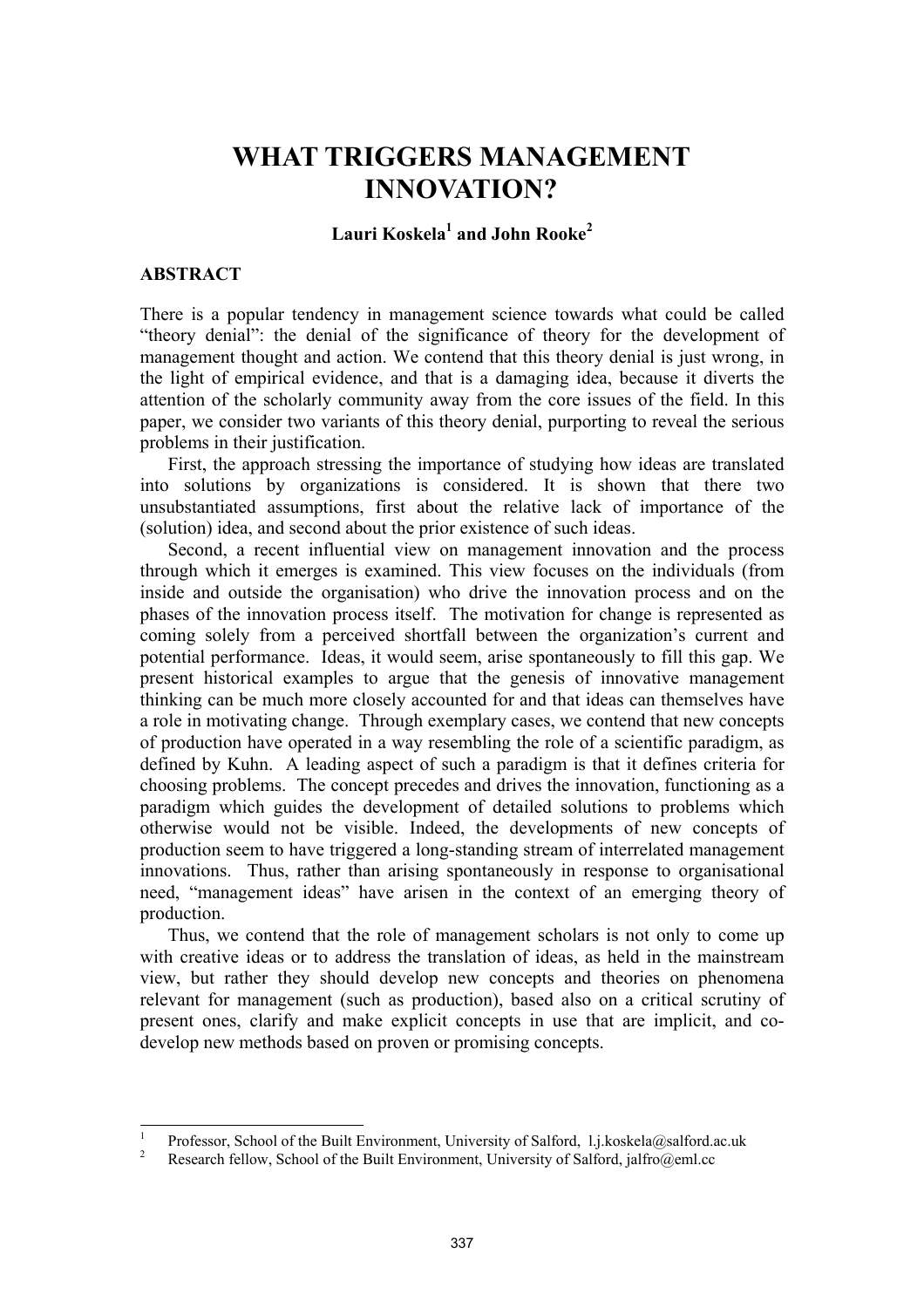# **WHAT TRIGGERS MANAGEMENT INNOVATION?**

# **Lauri Koskela1 and John Rooke<sup>2</sup>**

## **ABSTRACT**

There is a popular tendency in management science towards what could be called "theory denial": the denial of the significance of theory for the development of management thought and action. We contend that this theory denial is just wrong, in the light of empirical evidence, and that is a damaging idea, because it diverts the attention of the scholarly community away from the core issues of the field. In this paper, we consider two variants of this theory denial, purporting to reveal the serious problems in their justification.

First, the approach stressing the importance of studying how ideas are translated into solutions by organizations is considered. It is shown that there two unsubstantiated assumptions, first about the relative lack of importance of the (solution) idea, and second about the prior existence of such ideas.

Second, a recent influential view on management innovation and the process through which it emerges is examined. This view focuses on the individuals (from inside and outside the organisation) who drive the innovation process and on the phases of the innovation process itself. The motivation for change is represented as coming solely from a perceived shortfall between the organization's current and potential performance. Ideas, it would seem, arise spontaneously to fill this gap. We present historical examples to argue that the genesis of innovative management thinking can be much more closely accounted for and that ideas can themselves have a role in motivating change. Through exemplary cases, we contend that new concepts of production have operated in a way resembling the role of a scientific paradigm, as defined by Kuhn. A leading aspect of such a paradigm is that it defines criteria for choosing problems. The concept precedes and drives the innovation, functioning as a paradigm which guides the development of detailed solutions to problems which otherwise would not be visible. Indeed, the developments of new concepts of production seem to have triggered a long-standing stream of interrelated management innovations. Thus, rather than arising spontaneously in response to organisational need, "management ideas" have arisen in the context of an emerging theory of production.

Thus, we contend that the role of management scholars is not only to come up with creative ideas or to address the translation of ideas, as held in the mainstream view, but rather they should develop new concepts and theories on phenomena relevant for management (such as production), based also on a critical scrutiny of present ones, clarify and make explicit concepts in use that are implicit, and codevelop new methods based on proven or promising concepts.

 1 Professor, School of the Built Environment, University of Salford, 1.j.koskela@salford.ac.uk<br>  $\frac{2}{3}$  Proceed filling School of the Duits Environment, University of Salford, islands

Research fellow, School of the Built Environment, University of Salford, jalfro@eml.cc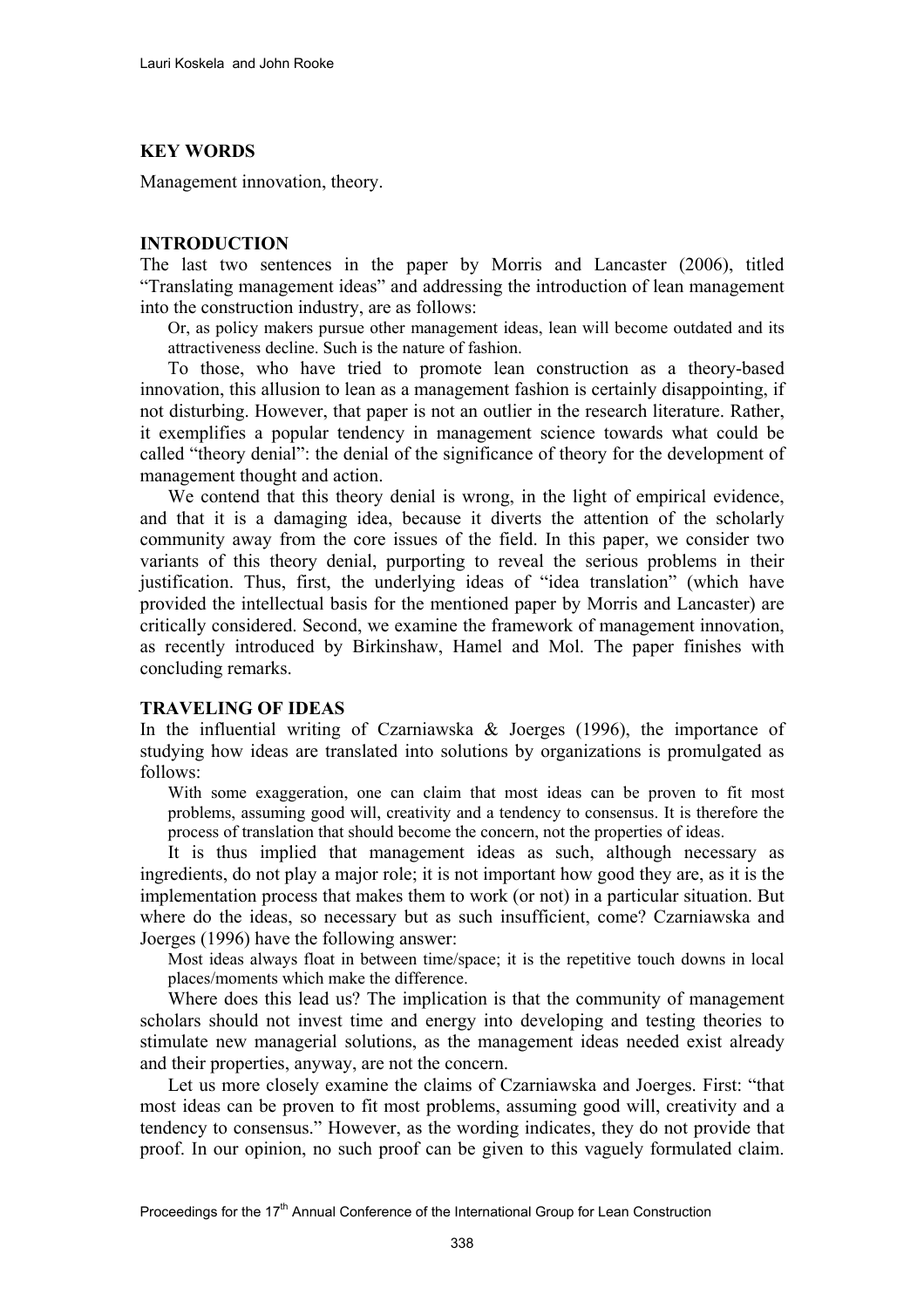## **KEY WORDS**

Management innovation, theory.

## **INTRODUCTION**

The last two sentences in the paper by Morris and Lancaster (2006), titled "Translating management ideas" and addressing the introduction of lean management into the construction industry, are as follows:

Or, as policy makers pursue other management ideas, lean will become outdated and its attractiveness decline. Such is the nature of fashion.

To those, who have tried to promote lean construction as a theory-based innovation, this allusion to lean as a management fashion is certainly disappointing, if not disturbing. However, that paper is not an outlier in the research literature. Rather, it exemplifies a popular tendency in management science towards what could be called "theory denial": the denial of the significance of theory for the development of management thought and action.

We contend that this theory denial is wrong, in the light of empirical evidence, and that it is a damaging idea, because it diverts the attention of the scholarly community away from the core issues of the field. In this paper, we consider two variants of this theory denial, purporting to reveal the serious problems in their justification. Thus, first, the underlying ideas of "idea translation" (which have provided the intellectual basis for the mentioned paper by Morris and Lancaster) are critically considered. Second, we examine the framework of management innovation, as recently introduced by Birkinshaw, Hamel and Mol. The paper finishes with concluding remarks.

## **TRAVELING OF IDEAS**

In the influential writing of Czarniawska & Joerges (1996), the importance of studying how ideas are translated into solutions by organizations is promulgated as follows:

With some exaggeration, one can claim that most ideas can be proven to fit most problems, assuming good will, creativity and a tendency to consensus. It is therefore the process of translation that should become the concern, not the properties of ideas.

It is thus implied that management ideas as such, although necessary as ingredients, do not play a major role; it is not important how good they are, as it is the implementation process that makes them to work (or not) in a particular situation. But where do the ideas, so necessary but as such insufficient, come? Czarniawska and Joerges (1996) have the following answer:

Most ideas always float in between time/space; it is the repetitive touch downs in local places/moments which make the difference.

Where does this lead us? The implication is that the community of management scholars should not invest time and energy into developing and testing theories to stimulate new managerial solutions, as the management ideas needed exist already and their properties, anyway, are not the concern.

Let us more closely examine the claims of Czarniawska and Joerges. First: "that most ideas can be proven to fit most problems, assuming good will, creativity and a tendency to consensus." However, as the wording indicates, they do not provide that proof. In our opinion, no such proof can be given to this vaguely formulated claim.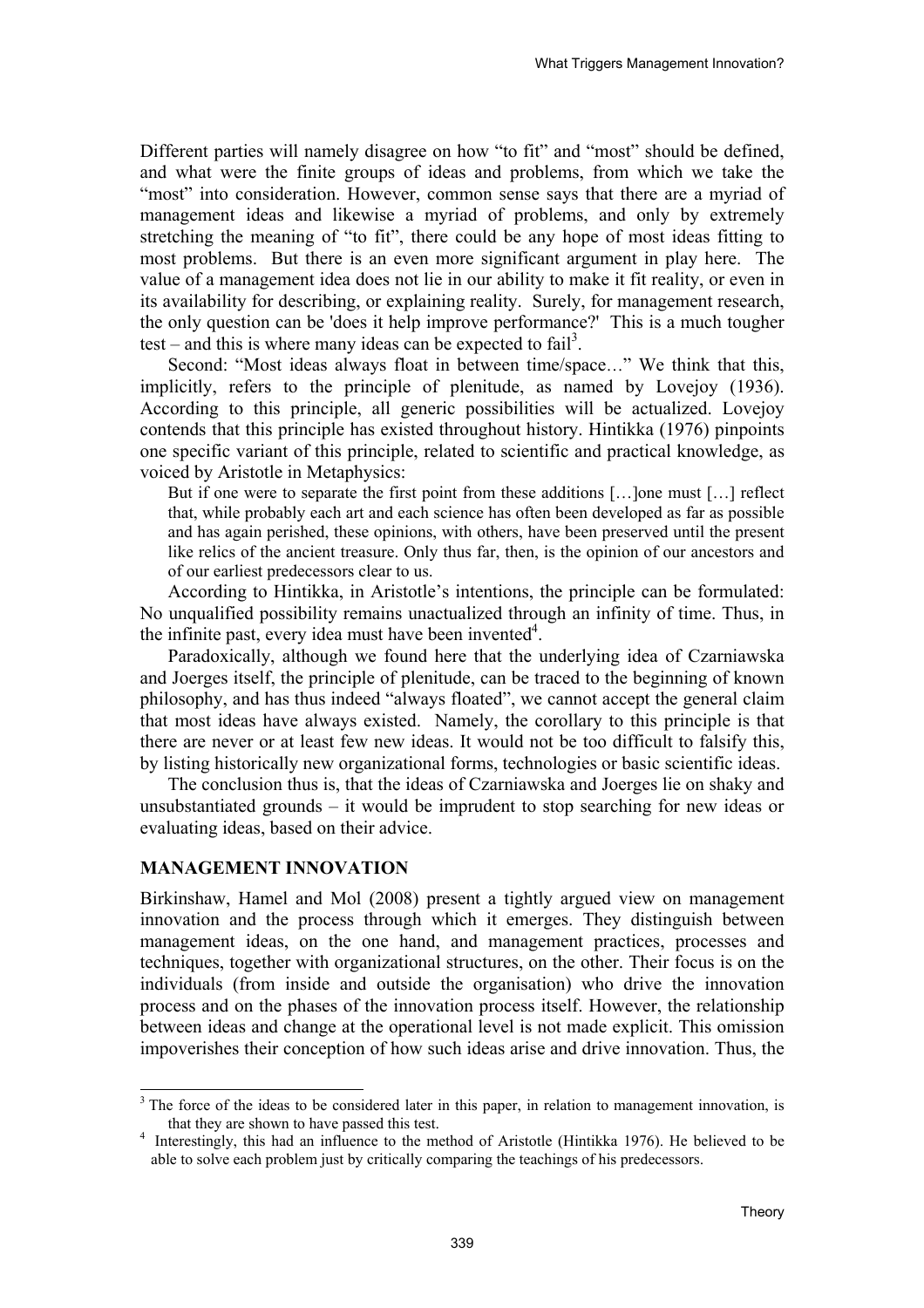Different parties will namely disagree on how "to fit" and "most" should be defined, and what were the finite groups of ideas and problems, from which we take the "most" into consideration. However, common sense says that there are a myriad of management ideas and likewise a myriad of problems, and only by extremely stretching the meaning of "to fit", there could be any hope of most ideas fitting to most problems. But there is an even more significant argument in play here. The value of a management idea does not lie in our ability to make it fit reality, or even in its availability for describing, or explaining reality. Surely, for management research, the only question can be 'does it help improve performance?' This is a much tougher test – and this is where many ideas can be expected to fail<sup>3</sup>.

Second: "Most ideas always float in between time/space…" We think that this, implicitly, refers to the principle of plenitude, as named by Lovejoy (1936). According to this principle, all generic possibilities will be actualized. Lovejoy contends that this principle has existed throughout history. Hintikka (1976) pinpoints one specific variant of this principle, related to scientific and practical knowledge, as voiced by Aristotle in Metaphysics:

But if one were to separate the first point from these additions [...] one must [...] reflect that, while probably each art and each science has often been developed as far as possible and has again perished, these opinions, with others, have been preserved until the present like relics of the ancient treasure. Only thus far, then, is the opinion of our ancestors and of our earliest predecessors clear to us.

According to Hintikka, in Aristotle's intentions, the principle can be formulated: No unqualified possibility remains unactualized through an infinity of time. Thus, in the infinite past, every idea must have been invented $4$ .

Paradoxically, although we found here that the underlying idea of Czarniawska and Joerges itself, the principle of plenitude, can be traced to the beginning of known philosophy, and has thus indeed "always floated", we cannot accept the general claim that most ideas have always existed. Namely, the corollary to this principle is that there are never or at least few new ideas. It would not be too difficult to falsify this, by listing historically new organizational forms, technologies or basic scientific ideas.

The conclusion thus is, that the ideas of Czarniawska and Joerges lie on shaky and unsubstantiated grounds – it would be imprudent to stop searching for new ideas or evaluating ideas, based on their advice.

#### **MANAGEMENT INNOVATION**

Birkinshaw, Hamel and Mol (2008) present a tightly argued view on management innovation and the process through which it emerges. They distinguish between management ideas, on the one hand, and management practices, processes and techniques, together with organizational structures, on the other. Their focus is on the individuals (from inside and outside the organisation) who drive the innovation process and on the phases of the innovation process itself. However, the relationship between ideas and change at the operational level is not made explicit. This omission impoverishes their conception of how such ideas arise and drive innovation. Thus, the

<sup>&</sup>lt;sup>3</sup> The force of the ideas to be considered later in this paper, in relation to management innovation, is that they are shown to have passed this test. 4

<sup>&</sup>lt;sup>4</sup> Interestingly, this had an influence to the method of Aristotle (Hintikka 1976). He believed to be able to solve each problem just by critically comparing the teachings of his predecessors.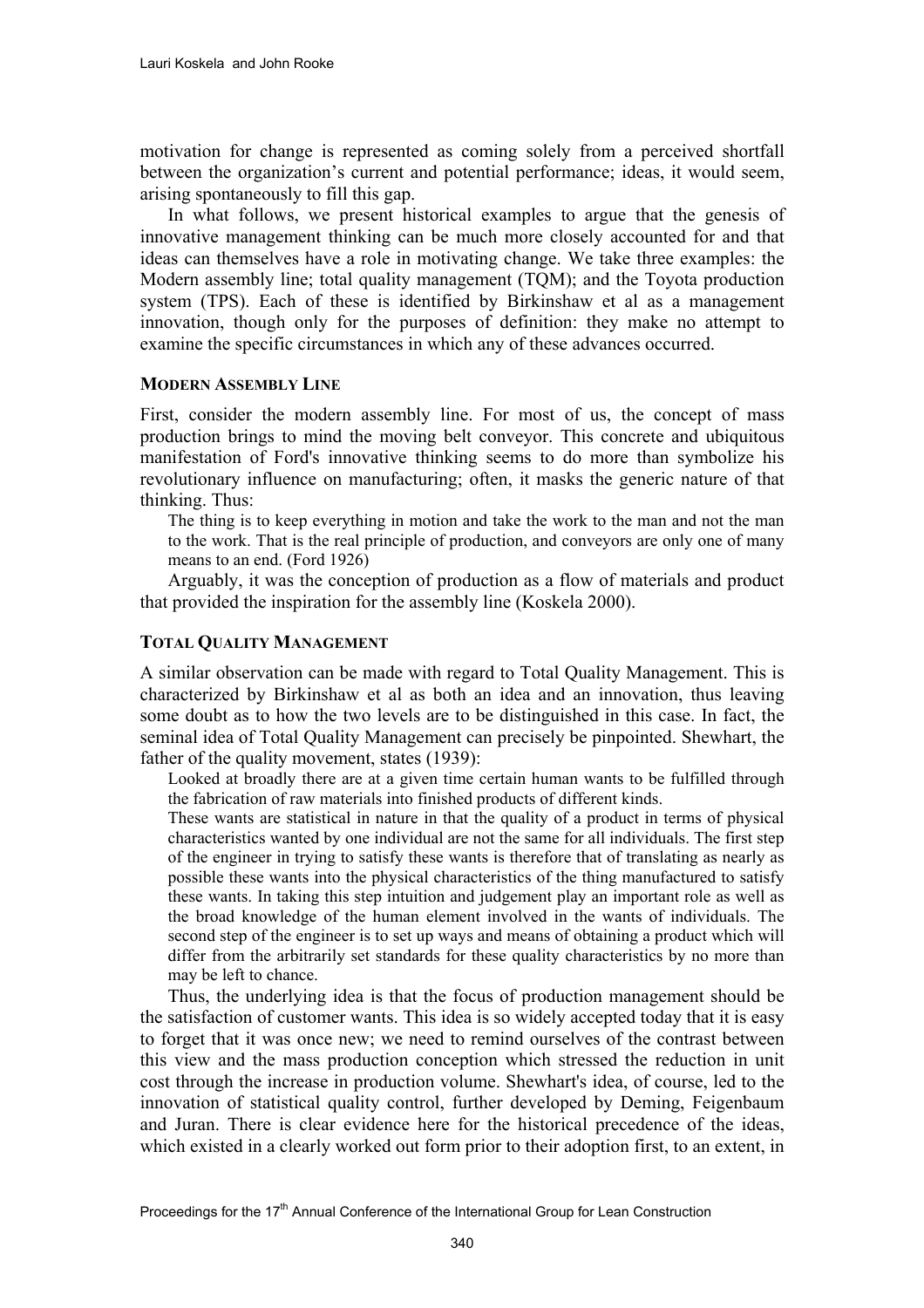motivation for change is represented as coming solely from a perceived shortfall between the organization's current and potential performance; ideas, it would seem, arising spontaneously to fill this gap.

In what follows, we present historical examples to argue that the genesis of innovative management thinking can be much more closely accounted for and that ideas can themselves have a role in motivating change. We take three examples: the Modern assembly line; total quality management (TQM); and the Toyota production system (TPS). Each of these is identified by Birkinshaw et al as a management innovation, though only for the purposes of definition: they make no attempt to examine the specific circumstances in which any of these advances occurred.

#### **MODERN ASSEMBLY LINE**

First, consider the modern assembly line. For most of us, the concept of mass production brings to mind the moving belt conveyor. This concrete and ubiquitous manifestation of Ford's innovative thinking seems to do more than symbolize his revolutionary influence on manufacturing; often, it masks the generic nature of that thinking. Thus:

The thing is to keep everything in motion and take the work to the man and not the man to the work. That is the real principle of production, and conveyors are only one of many means to an end. (Ford 1926)

Arguably, it was the conception of production as a flow of materials and product that provided the inspiration for the assembly line (Koskela 2000).

## **TOTAL QUALITY MANAGEMENT**

A similar observation can be made with regard to Total Quality Management. This is characterized by Birkinshaw et al as both an idea and an innovation, thus leaving some doubt as to how the two levels are to be distinguished in this case. In fact, the seminal idea of Total Quality Management can precisely be pinpointed. Shewhart, the father of the quality movement, states (1939):

Looked at broadly there are at a given time certain human wants to be fulfilled through the fabrication of raw materials into finished products of different kinds.

These wants are statistical in nature in that the quality of a product in terms of physical characteristics wanted by one individual are not the same for all individuals. The first step of the engineer in trying to satisfy these wants is therefore that of translating as nearly as possible these wants into the physical characteristics of the thing manufactured to satisfy these wants. In taking this step intuition and judgement play an important role as well as the broad knowledge of the human element involved in the wants of individuals. The second step of the engineer is to set up ways and means of obtaining a product which will differ from the arbitrarily set standards for these quality characteristics by no more than may be left to chance.

Thus, the underlying idea is that the focus of production management should be the satisfaction of customer wants. This idea is so widely accepted today that it is easy to forget that it was once new; we need to remind ourselves of the contrast between this view and the mass production conception which stressed the reduction in unit cost through the increase in production volume. Shewhart's idea, of course, led to the innovation of statistical quality control, further developed by Deming, Feigenbaum and Juran. There is clear evidence here for the historical precedence of the ideas, which existed in a clearly worked out form prior to their adoption first, to an extent, in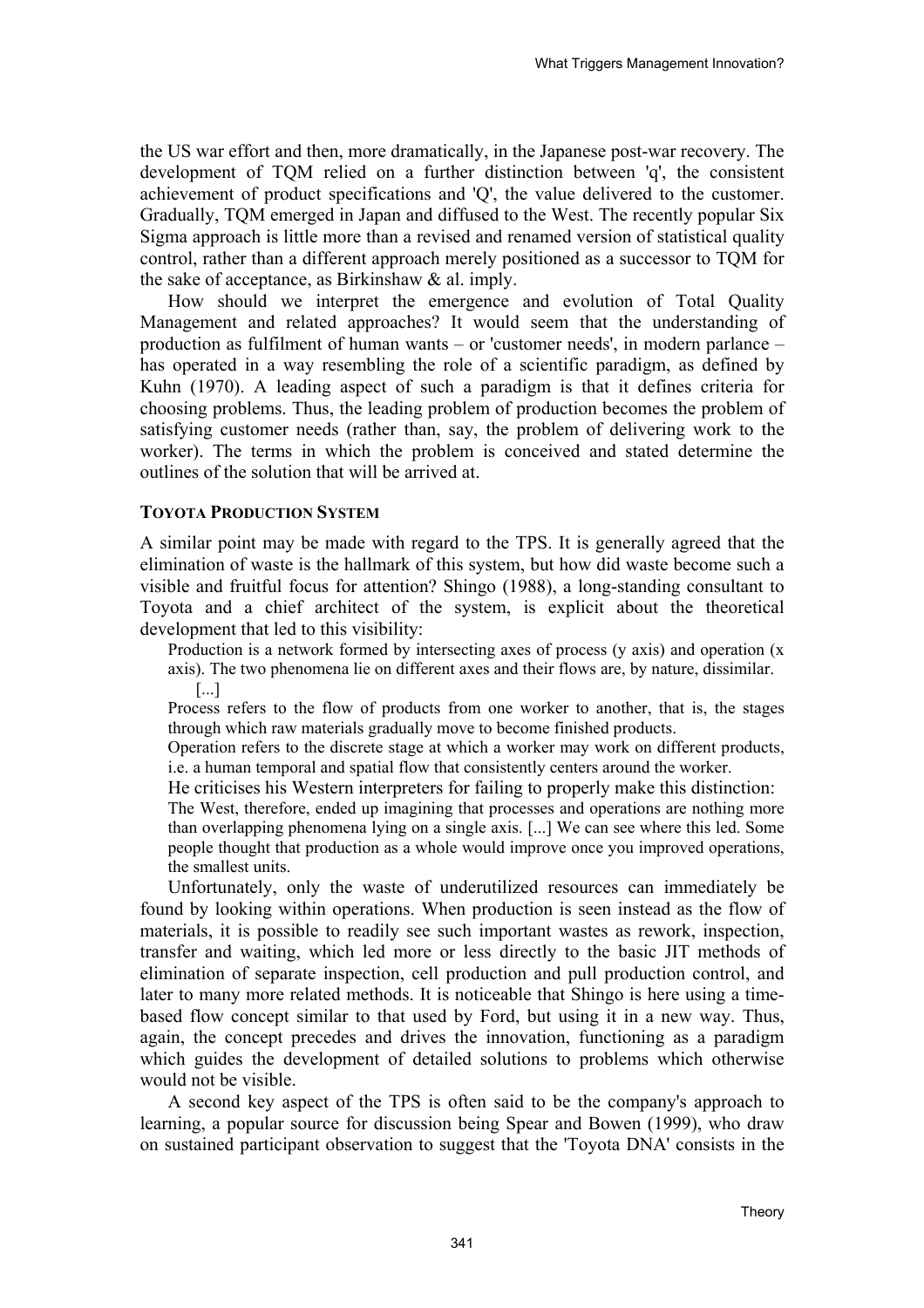the US war effort and then, more dramatically, in the Japanese post-war recovery. The development of TQM relied on a further distinction between 'q', the consistent achievement of product specifications and 'Q', the value delivered to the customer. Gradually, TQM emerged in Japan and diffused to the West. The recently popular Six Sigma approach is little more than a revised and renamed version of statistical quality control, rather than a different approach merely positioned as a successor to TQM for the sake of acceptance, as Birkinshaw & al. imply.

How should we interpret the emergence and evolution of Total Quality Management and related approaches? It would seem that the understanding of production as fulfilment of human wants – or 'customer needs', in modern parlance – has operated in a way resembling the role of a scientific paradigm, as defined by Kuhn (1970). A leading aspect of such a paradigm is that it defines criteria for choosing problems. Thus, the leading problem of production becomes the problem of satisfying customer needs (rather than, say, the problem of delivering work to the worker). The terms in which the problem is conceived and stated determine the outlines of the solution that will be arrived at.

## **TOYOTA PRODUCTION SYSTEM**

A similar point may be made with regard to the TPS. It is generally agreed that the elimination of waste is the hallmark of this system, but how did waste become such a visible and fruitful focus for attention? Shingo (1988), a long-standing consultant to Toyota and a chief architect of the system, is explicit about the theoretical development that led to this visibility:

Production is a network formed by intersecting axes of process (y axis) and operation (x axis). The two phenomena lie on different axes and their flows are, by nature, dissimilar. [...]

Process refers to the flow of products from one worker to another, that is, the stages through which raw materials gradually move to become finished products.

Operation refers to the discrete stage at which a worker may work on different products, i.e. a human temporal and spatial flow that consistently centers around the worker.

He criticises his Western interpreters for failing to properly make this distinction:

The West, therefore, ended up imagining that processes and operations are nothing more than overlapping phenomena lying on a single axis. [...] We can see where this led. Some people thought that production as a whole would improve once you improved operations, the smallest units.

Unfortunately, only the waste of underutilized resources can immediately be found by looking within operations. When production is seen instead as the flow of materials, it is possible to readily see such important wastes as rework, inspection, transfer and waiting, which led more or less directly to the basic JIT methods of elimination of separate inspection, cell production and pull production control, and later to many more related methods. It is noticeable that Shingo is here using a timebased flow concept similar to that used by Ford, but using it in a new way. Thus, again, the concept precedes and drives the innovation, functioning as a paradigm which guides the development of detailed solutions to problems which otherwise would not be visible.

A second key aspect of the TPS is often said to be the company's approach to learning, a popular source for discussion being Spear and Bowen (1999), who draw on sustained participant observation to suggest that the 'Toyota DNA' consists in the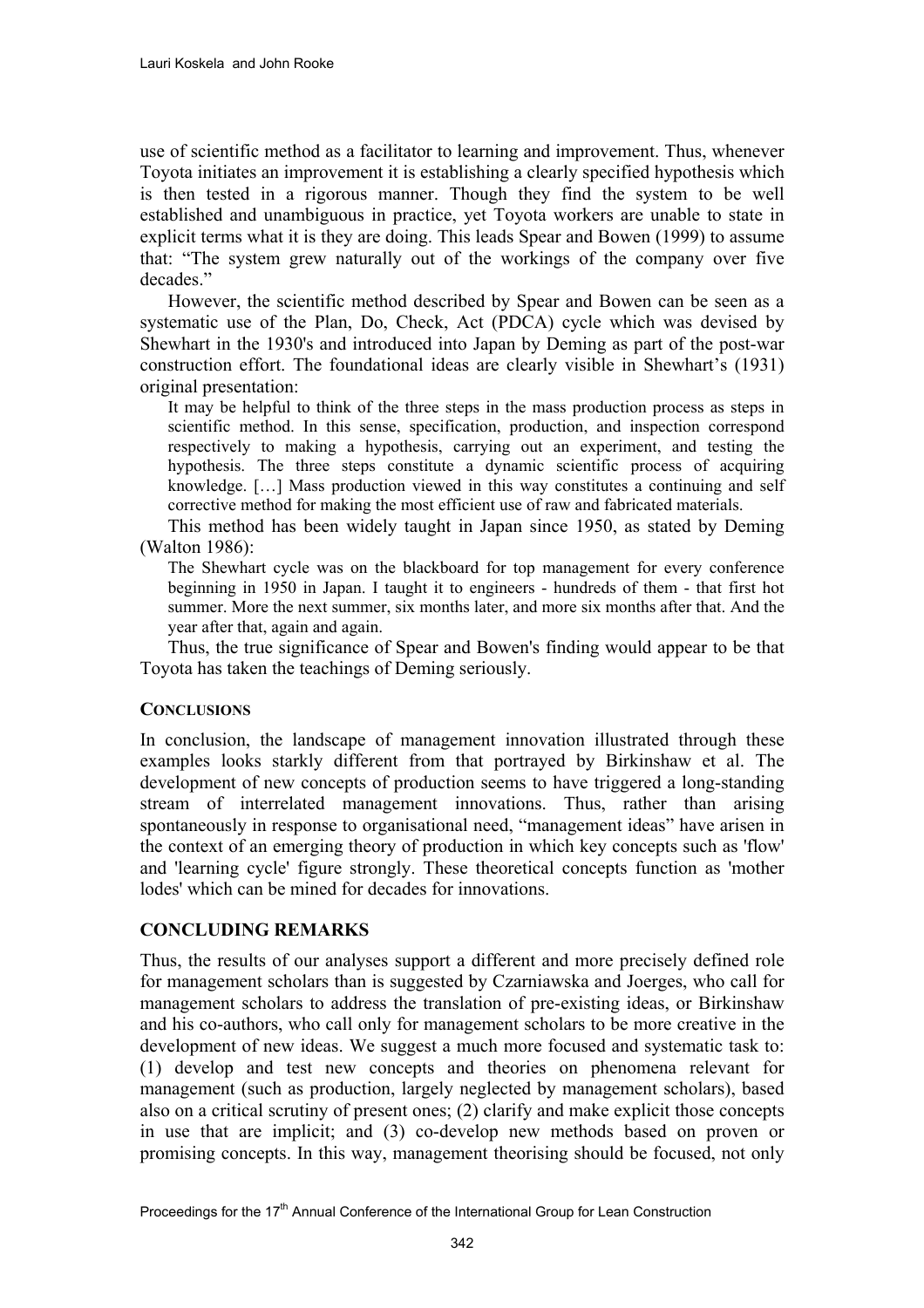use of scientific method as a facilitator to learning and improvement. Thus, whenever Toyota initiates an improvement it is establishing a clearly specified hypothesis which is then tested in a rigorous manner. Though they find the system to be well established and unambiguous in practice, yet Toyota workers are unable to state in explicit terms what it is they are doing. This leads Spear and Bowen (1999) to assume that: "The system grew naturally out of the workings of the company over five decades"

However, the scientific method described by Spear and Bowen can be seen as a systematic use of the Plan, Do, Check, Act (PDCA) cycle which was devised by Shewhart in the 1930's and introduced into Japan by Deming as part of the post-war construction effort. The foundational ideas are clearly visible in Shewhart's (1931) original presentation:

It may be helpful to think of the three steps in the mass production process as steps in scientific method. In this sense, specification, production, and inspection correspond respectively to making a hypothesis, carrying out an experiment, and testing the hypothesis. The three steps constitute a dynamic scientific process of acquiring knowledge. […] Mass production viewed in this way constitutes a continuing and self corrective method for making the most efficient use of raw and fabricated materials.

This method has been widely taught in Japan since 1950, as stated by Deming (Walton 1986):

The Shewhart cycle was on the blackboard for top management for every conference beginning in 1950 in Japan. I taught it to engineers - hundreds of them - that first hot summer. More the next summer, six months later, and more six months after that. And the year after that, again and again.

Thus, the true significance of Spear and Bowen's finding would appear to be that Toyota has taken the teachings of Deming seriously.

## **CONCLUSIONS**

In conclusion, the landscape of management innovation illustrated through these examples looks starkly different from that portrayed by Birkinshaw et al. The development of new concepts of production seems to have triggered a long-standing stream of interrelated management innovations. Thus, rather than arising spontaneously in response to organisational need, "management ideas" have arisen in the context of an emerging theory of production in which key concepts such as 'flow' and 'learning cycle' figure strongly. These theoretical concepts function as 'mother lodes' which can be mined for decades for innovations.

## **CONCLUDING REMARKS**

Thus, the results of our analyses support a different and more precisely defined role for management scholars than is suggested by Czarniawska and Joerges, who call for management scholars to address the translation of pre-existing ideas, or Birkinshaw and his co-authors, who call only for management scholars to be more creative in the development of new ideas. We suggest a much more focused and systematic task to: (1) develop and test new concepts and theories on phenomena relevant for management (such as production, largely neglected by management scholars), based also on a critical scrutiny of present ones; (2) clarify and make explicit those concepts in use that are implicit; and (3) co-develop new methods based on proven or promising concepts. In this way, management theorising should be focused, not only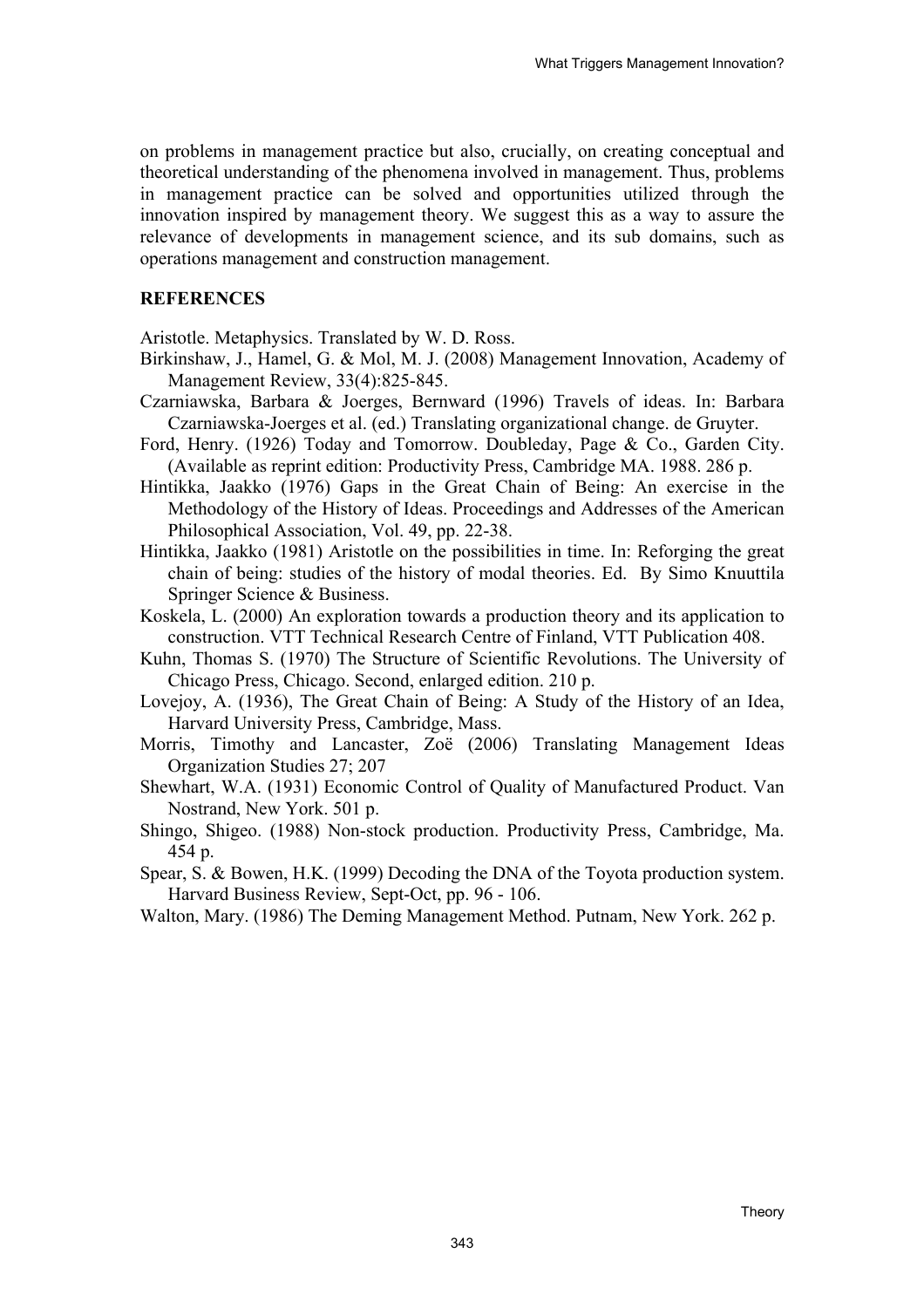on problems in management practice but also, crucially, on creating conceptual and theoretical understanding of the phenomena involved in management. Thus, problems in management practice can be solved and opportunities utilized through the innovation inspired by management theory. We suggest this as a way to assure the relevance of developments in management science, and its sub domains, such as operations management and construction management.

## **REFERENCES**

Aristotle. Metaphysics. Translated by W. D. Ross.

- Birkinshaw, J., Hamel, G. & Mol, M. J. (2008) Management Innovation, Academy of Management Review, 33(4):825-845.
- Czarniawska, Barbara & Joerges, Bernward (1996) Travels of ideas. In: Barbara Czarniawska-Joerges et al. (ed.) Translating organizational change. de Gruyter.
- Ford, Henry. (1926) Today and Tomorrow. Doubleday, Page & Co., Garden City. (Available as reprint edition: Productivity Press, Cambridge MA. 1988. 286 p.
- Hintikka, Jaakko (1976) Gaps in the Great Chain of Being: An exercise in the Methodology of the History of Ideas. Proceedings and Addresses of the American Philosophical Association, Vol. 49, pp. 22-38.
- Hintikka, Jaakko (1981) Aristotle on the possibilities in time. In: Reforging the great chain of being: studies of the history of modal theories. Ed. By Simo Knuuttila Springer Science & Business.
- Koskela, L. (2000) An exploration towards a production theory and its application to construction. VTT Technical Research Centre of Finland, VTT Publication 408.
- Kuhn, Thomas S. (1970) The Structure of Scientific Revolutions. The University of Chicago Press, Chicago. Second, enlarged edition. 210 p.
- Lovejoy, A. (1936), The Great Chain of Being: A Study of the History of an Idea, Harvard University Press, Cambridge, Mass.
- Morris, Timothy and Lancaster, Zoë (2006) Translating Management Ideas Organization Studies 27; 207
- Shewhart, W.A. (1931) Economic Control of Quality of Manufactured Product. Van Nostrand, New York. 501 p.
- Shingo, Shigeo. (1988) Non-stock production. Productivity Press, Cambridge, Ma. 454 p.
- Spear, S. & Bowen, H.K. (1999) Decoding the DNA of the Toyota production system. Harvard Business Review, Sept-Oct, pp. 96 - 106.
- Walton, Mary. (1986) The Deming Management Method. Putnam, New York. 262 p.